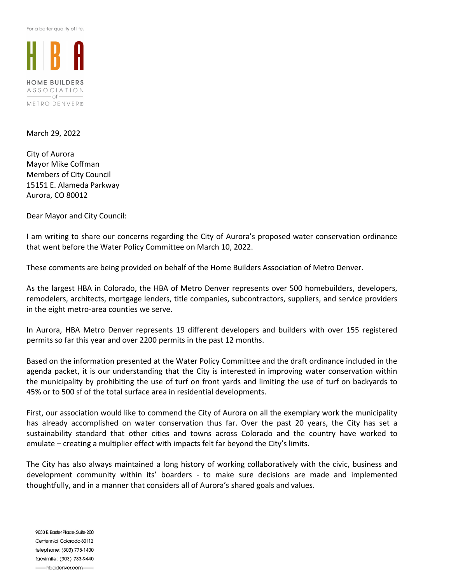For a better quality of life.



March 29, 2022

City of Aurora Mayor Mike Coffman Members of City Council 15151 E. Alameda Parkway Aurora, CO 80012

Dear Mayor and City Council:

I am writing to share our concerns regarding the City of Aurora's proposed water conservation ordinance that went before the Water Policy Committee on March 10, 2022.

These comments are being provided on behalf of the Home Builders Association of Metro Denver.

As the largest HBA in Colorado, the HBA of Metro Denver represents over 500 homebuilders, developers, remodelers, architects, mortgage lenders, title companies, subcontractors, suppliers, and service providers in the eight metro-area counties we serve.

In Aurora, HBA Metro Denver represents 19 different developers and builders with over 155 registered permits so far this year and over 2200 permits in the past 12 months.

Based on the information presented at the Water Policy Committee and the draft ordinance included in the agenda packet, it is our understanding that the City is interested in improving water conservation within the municipality by prohibiting the use of turf on front yards and limiting the use of turf on backyards to 45% or to 500 sf of the total surface area in residential developments.

First, our association would like to commend the City of Aurora on all the exemplary work the municipality has already accomplished on water conservation thus far. Over the past 20 years, the City has set a sustainability standard that other cities and towns across Colorado and the country have worked to emulate – creating a multiplier effect with impacts felt far beyond the City's limits.

The City has also always maintained a long history of working collaboratively with the civic, business and development community within its' boarders - to make sure decisions are made and implemented thoughtfully, and in a manner that considers all of Aurora's shared goals and values.

9033 E. Easter Place, Suite 200 Centennial, Colorado 80112 telephone: (303) 778-1400 facsimile: (303) 733-9440 -hbadenver.com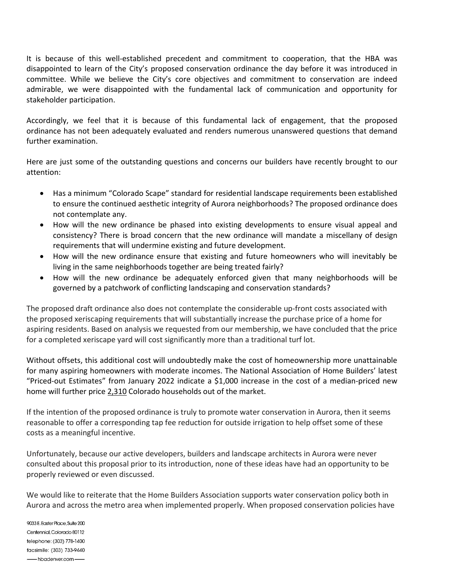It is because of this well-established precedent and commitment to cooperation, that the HBA was disappointed to learn of the City's proposed conservation ordinance the day before it was introduced in committee. While we believe the City's core objectives and commitment to conservation are indeed admirable, we were disappointed with the fundamental lack of communication and opportunity for stakeholder participation.

Accordingly, we feel that it is because of this fundamental lack of engagement, that the proposed ordinance has not been adequately evaluated and renders numerous unanswered questions that demand further examination.

Here are just some of the outstanding questions and concerns our builders have recently brought to our attention:

- Has a minimum "Colorado Scape" standard for residential landscape requirements been established to ensure the continued aesthetic integrity of Aurora neighborhoods? The proposed ordinance does not contemplate any.
- How will the new ordinance be phased into existing developments to ensure visual appeal and consistency? There is broad concern that the new ordinance will mandate a miscellany of design requirements that will undermine existing and future development.
- How will the new ordinance ensure that existing and future homeowners who will inevitably be living in the same neighborhoods together are being treated fairly?
- How will the new ordinance be adequately enforced given that many neighborhoods will be governed by a patchwork of conflicting landscaping and conservation standards?

The proposed draft ordinance also does not contemplate the considerable up-front costs associated with the proposed xeriscaping requirements that will substantially increase the purchase price of a home for aspiring residents. Based on analysis we requested from our membership, we have concluded that the price for a completed xeriscape yard will cost significantly more than a traditional turf lot.

Without offsets, this additional cost will undoubtedly make the cost of homeownership more unattainable for many aspiring homeowners with moderate incomes. The National Association of Home Builders' latest "Priced-out Estimates" from January 2022 indicate a \$1,000 increase in the cost of a median-priced new home will further price 2,310 Colorado households out of the market.

If the intention of the proposed ordinance is truly to promote water conservation in Aurora, then it seems reasonable to offer a corresponding tap fee reduction for outside irrigation to help offset some of these costs as a meaningful incentive.

Unfortunately, because our active developers, builders and landscape architects in Aurora were never consulted about this proposal prior to its introduction, none of these ideas have had an opportunity to be properly reviewed or even discussed.

We would like to reiterate that the Home Builders Association supports water conservation policy both in Aurora and across the metro area when implemented properly. When proposed conservation policies have

9033 E. Easter Place, Suite 200 Centennial, Colorado 80112 telephone: (303) 778-1400 facsimile: (303) 733-9440 hbadenver.com